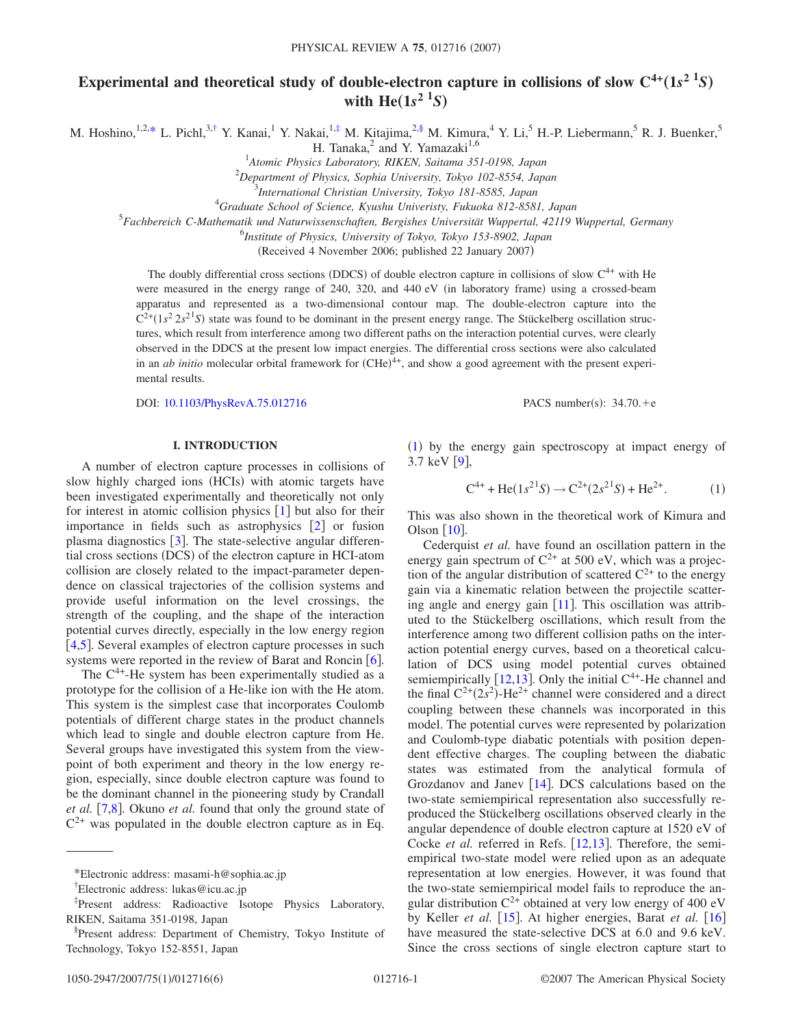# Experimental and theoretical study of double-electron capture in collisions of slow  $C^{4+}({\bf 1} s^2~^1S)$ with  $\text{He}(1s^2 \text{ }^1S)$

M. Hoshino,  $1,2,*$  $1,2,*$  L. Pichl,  $3,†$  $3,†$  Y. Kanai,  $1$  Y. Nakai,  $1,‡$  $1,‡$  M. Kitajima,  $2,§$  $2,§$  M. Kimura,  $4$  Y. Li,  $5$  H.-P. Liebermann,  $5$  R. J. Buenker,  $5$ 

H. Tanaka, $^2$  and Y. Yamazaki<sup>1,6</sup>

1 *Atomic Physics Laboratory, RIKEN, Saitama 351-0198, Japan*

2 *Department of Physics, Sophia University, Tokyo 102-8554, Japan*

4 *Graduate School of Science, Kyushu Univeristy, Fukuoka 812-8581, Japan*

5 *Fachbereich C-Mathematik und Naturwissenschaften, Bergishes Universität Wuppertal, 42119 Wuppertal, Germany*

6 *Institute of Physics, University of Tokyo, Tokyo 153-8902, Japan*

(Received 4 November 2006; published 22 January 2007)

The doubly differential cross sections (DDCS) of double electron capture in collisions of slow  $C<sup>4+</sup>$  with He were measured in the energy range of 240, 320, and 440 eV (in laboratory frame) using a crossed-beam apparatus and represented as a two-dimensional contour map. The double-electron capture into the  $C^{2+}(1s^2 2s^2 S)$  state was found to be dominant in the present energy range. The Stückelberg oscillation structures, which result from interference among two different paths on the interaction potential curves, were clearly observed in the DDCS at the present low impact energies. The differential cross sections were also calculated in an *ab initio* molecular orbital framework for (CHe)<sup>4+</sup>, and show a good agreement with the present experimental results.

DOI: [10.1103/PhysRevA.75.012716](http://dx.doi.org/10.1103/PhysRevA.75.012716)

**I. INTRODUCTION**

A number of electron capture processes in collisions of slow highly charged ions (HCIs) with atomic targets have been investigated experimentally and theoretically not only for interest in atomic collision physics  $[1]$  $[1]$  $[1]$  but also for their importance in fields such as astrophysics  $\lceil 2 \rceil$  $\lceil 2 \rceil$  $\lceil 2 \rceil$  or fusion plasma diagnostics  $[3]$  $[3]$  $[3]$ . The state-selective angular differential cross sections (DCS) of the electron capture in HCI-atom collision are closely related to the impact-parameter dependence on classical trajectories of the collision systems and provide useful information on the level crossings, the strength of the coupling, and the shape of the interaction potential curves directly, especially in the low energy region  $[4,5]$  $[4,5]$  $[4,5]$  $[4,5]$ . Several examples of electron capture processes in such systems were reported in the review of Barat and Roncin  $\lceil 6 \rceil$  $\lceil 6 \rceil$  $\lceil 6 \rceil$ .

The  $C^{4+}$ -He system has been experimentally studied as a prototype for the collision of a He-like ion with the He atom. This system is the simplest case that incorporates Coulomb potentials of different charge states in the product channels which lead to single and double electron capture from He. Several groups have investigated this system from the viewpoint of both experiment and theory in the low energy region, especially, since double electron capture was found to be the dominant channel in the pioneering study by Crandall *et al.* [[7](#page-4-6)[,8](#page-4-7)]. Okuno *et al.* found that only the ground state of  $C^{2+}$  was populated in the double electron capture as in Eq.

1050-2947/2007/75(1)/012716(6)

PACS number(s):  $34.70.+e$ 

([1](#page-0-4)) by the energy gain spectroscopy at impact energy of 3.7 keV  $[9]$  $[9]$  $[9]$ ,

$$
C^{4+} + He(1s^{2}S) \rightarrow C^{2+}(2s^{2}S) + He^{2+}.
$$
 (1)

<span id="page-0-4"></span>This was also shown in the theoretical work of Kimura and Olson  $\lceil 10 \rceil$  $\lceil 10 \rceil$  $\lceil 10 \rceil$ .

Cederquist *et al.* have found an oscillation pattern in the energy gain spectrum of  $C^{2+}$  at 500 eV, which was a projection of the angular distribution of scattered  $C^{2+}$  to the energy gain via a kinematic relation between the projectile scattering angle and energy gain  $[11]$  $[11]$  $[11]$ . This oscillation was attributed to the Stückelberg oscillations, which result from the interference among two different collision paths on the interaction potential energy curves, based on a theoretical calculation of DCS using model potential curves obtained semiempirically [[12](#page-4-11)[,13](#page-4-12)]. Only the initial  $C<sup>4+</sup>$ -He channel and the final  $C^{2+}(2s^2)$ -He<sup>2+</sup> channel were considered and a direct coupling between these channels was incorporated in this model. The potential curves were represented by polarization and Coulomb-type diabatic potentials with position dependent effective charges. The coupling between the diabatic states was estimated from the analytical formula of Grozdanov and Janev  $[14]$  $[14]$  $[14]$ . DCS calculations based on the two-state semiempirical representation also successfully reproduced the Stückelberg oscillations observed clearly in the angular dependence of double electron capture at 1520 eV of Cocke *et al.* referred in Refs. [[12,](#page-4-11)[13](#page-4-12)]. Therefore, the semiempirical two-state model were relied upon as an adequate representation at low energies. However, it was found that the two-state semiempirical model fails to reproduce the angular distribution  $C^{2+}$  obtained at very low energy of 400 eV by Keller *et al.* [[15](#page-4-14)]. At higher energies, Barat *et al.* [[16](#page-4-15)] have measured the state-selective DCS at 6.0 and 9.6 keV. Since the cross sections of single electron capture start to

<sup>3</sup> *International Christian University, Tokyo 181-8585, Japan*

<span id="page-0-0"></span><sup>\*</sup>Electronic address: masami-h@sophia.ac.jp

<span id="page-0-1"></span><sup>†</sup> Electronic address: lukas@icu.ac.jp

<span id="page-0-2"></span><sup>‡</sup> Present address: Radioactive Isotope Physics Laboratory, RIKEN, Saitama 351-0198, Japan

<span id="page-0-3"></span><sup>§</sup> Present address: Department of Chemistry, Tokyo Institute of Technology, Tokyo 152-8551, Japan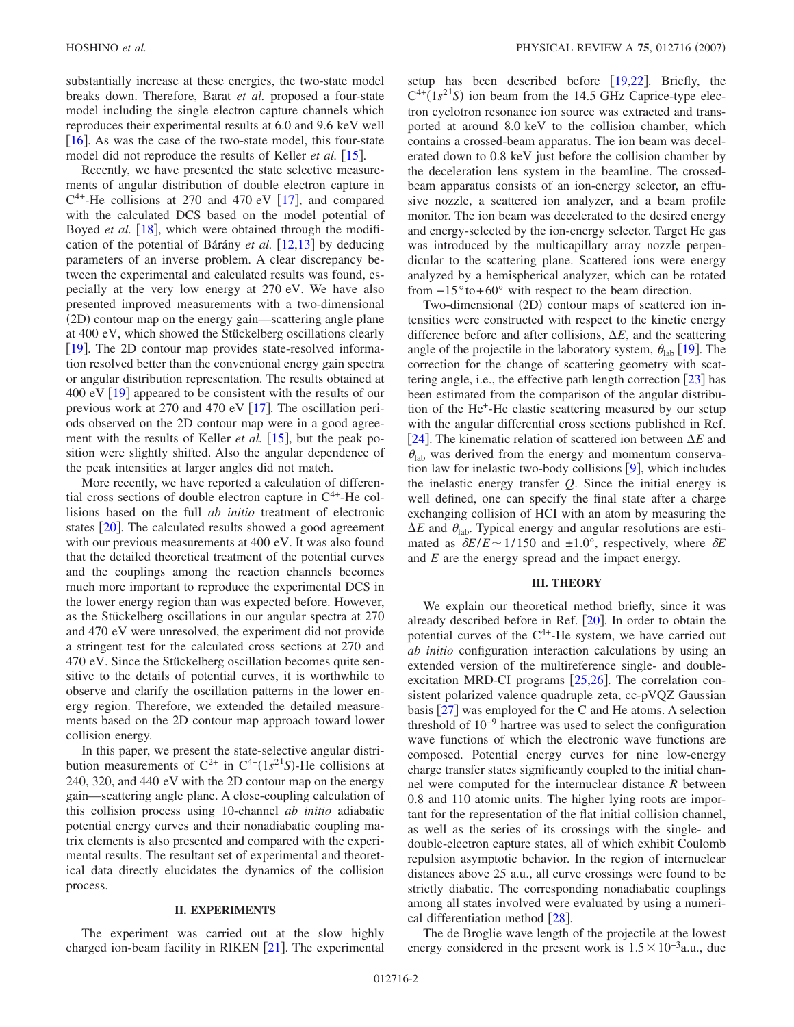substantially increase at these energies, the two-state model breaks down. Therefore, Barat *et al.* proposed a four-state model including the single electron capture channels which reproduces their experimental results at 6.0 and 9.6 keV well [ $16$ ]. As was the case of the two-state model, this four-state model did not reproduce the results of Keller *et al.* [[15](#page-4-14)].

Recently, we have presented the state selective measurements of angular distribution of double electron capture in  $C^{4+}$ -He collisions at 270 and 470 eV [[17](#page-4-16)], and compared with the calculated DCS based on the model potential of Boyed *et al.* [[18](#page-4-17)], which were obtained through the modification of the potential of Bárány *et al.* [[12,](#page-4-11)[13](#page-4-12)] by deducing parameters of an inverse problem. A clear discrepancy between the experimental and calculated results was found, especially at the very low energy at 270 eV. We have also presented improved measurements with a two-dimensional (2D) contour map on the energy gain—scattering angle plane at 400 eV, which showed the Stückelberg oscillations clearly [[19](#page-4-18)]. The 2D contour map provides state-resolved information resolved better than the conventional energy gain spectra or angular distribution representation. The results obtained at 400 eV  $\lceil 19 \rceil$  $\lceil 19 \rceil$  $\lceil 19 \rceil$  appeared to be consistent with the results of our previous work at 270 and 470 eV  $[17]$  $[17]$  $[17]$ . The oscillation periods observed on the 2D contour map were in a good agreement with the results of Keller *et al.* [[15](#page-4-14)], but the peak position were slightly shifted. Also the angular dependence of the peak intensities at larger angles did not match.

More recently, we have reported a calculation of differential cross sections of double electron capture in  $C<sup>4+</sup>$ -He collisions based on the full *ab initio* treatment of electronic states  $[20]$  $[20]$  $[20]$ . The calculated results showed a good agreement with our previous measurements at 400 eV. It was also found that the detailed theoretical treatment of the potential curves and the couplings among the reaction channels becomes much more important to reproduce the experimental DCS in the lower energy region than was expected before. However, as the Stückelberg oscillations in our angular spectra at 270 and 470 eV were unresolved, the experiment did not provide a stringent test for the calculated cross sections at 270 and 470 eV. Since the Stückelberg oscillation becomes quite sensitive to the details of potential curves, it is worthwhile to observe and clarify the oscillation patterns in the lower energy region. Therefore, we extended the detailed measurements based on the 2D contour map approach toward lower collision energy.

In this paper, we present the state-selective angular distribution measurements of  $C^{2+}$  in  $C^{4+}(1s^{21}S)$ -He collisions at 240, 320, and 440 eV with the 2D contour map on the energy gain—scattering angle plane. A close-coupling calculation of this collision process using 10-channel *ab initio* adiabatic potential energy curves and their nonadiabatic coupling matrix elements is also presented and compared with the experimental results. The resultant set of experimental and theoretical data directly elucidates the dynamics of the collision process.

### **II. EXPERIMENTS**

The experiment was carried out at the slow highly charged ion-beam facility in RIKEN  $[21]$  $[21]$  $[21]$ . The experimental setup has been described before  $|19,22|$  $|19,22|$  $|19,22|$  $|19,22|$ . Briefly, the  $C^{4+}(1s^{21}S)$  ion beam from the 14.5 GHz Caprice-type electron cyclotron resonance ion source was extracted and transported at around 8.0 keV to the collision chamber, which contains a crossed-beam apparatus. The ion beam was decelerated down to 0.8 keV just before the collision chamber by the deceleration lens system in the beamline. The crossedbeam apparatus consists of an ion-energy selector, an effusive nozzle, a scattered ion analyzer, and a beam profile monitor. The ion beam was decelerated to the desired energy and energy-selected by the ion-energy selector. Target He gas was introduced by the multicapillary array nozzle perpendicular to the scattering plane. Scattered ions were energy analyzed by a hemispherical analyzer, which can be rotated from  $-15^{\circ}$  to +60° with respect to the beam direction.

Two-dimensional (2D) contour maps of scattered ion intensities were constructed with respect to the kinetic energy difference before and after collisions,  $\Delta E$ , and the scattering angle of the projectile in the laboratory system,  $\theta_{lab}$  [[19](#page-4-18)]. The correction for the change of scattering geometry with scattering angle, i.e., the effective path length correction  $\lceil 23 \rceil$  $\lceil 23 \rceil$  $\lceil 23 \rceil$  has been estimated from the comparison of the angular distribution of the He+-He elastic scattering measured by our setup with the angular differential cross sections published in Ref. [[24](#page-5-4)]. The kinematic relation of scattered ion between  $\Delta E$  and  $\theta_{lab}$  was derived from the energy and momentum conservation law for inelastic two-body collisions  $[9]$  $[9]$  $[9]$ , which includes the inelastic energy transfer *Q*. Since the initial energy is well defined, one can specify the final state after a charge exchanging collision of HCI with an atom by measuring the  $\Delta E$  and  $\theta_{\text{lab}}$ . Typical energy and angular resolutions are estimated as  $\delta E/E \sim 1/150$  and  $\pm 1.0^{\circ}$ , respectively, where  $\delta E$ and *E* are the energy spread and the impact energy.

#### **III. THEORY**

We explain our theoretical method briefly, since it was already described before in Ref.  $[20]$  $[20]$  $[20]$ . In order to obtain the potential curves of the  $C<sup>4+</sup>$ -He system, we have carried out *ab initio* configuration interaction calculations by using an extended version of the multireference single- and doubleexcitation MRD-CI programs  $[25,26]$  $[25,26]$  $[25,26]$  $[25,26]$ . The correlation consistent polarized valence quadruple zeta, cc-pVQZ Gaussian basis  $\left[27\right]$  $\left[27\right]$  $\left[27\right]$  was employed for the C and He atoms. A selection threshold of  $10^{-9}$  hartree was used to select the configuration wave functions of which the electronic wave functions are composed. Potential energy curves for nine low-energy charge transfer states significantly coupled to the initial channel were computed for the internuclear distance *R* between 0.8 and 110 atomic units. The higher lying roots are important for the representation of the flat initial collision channel, as well as the series of its crossings with the single- and double-electron capture states, all of which exhibit Coulomb repulsion asymptotic behavior. In the region of internuclear distances above 25 a.u., all curve crossings were found to be strictly diabatic. The corresponding nonadiabatic couplings among all states involved were evaluated by using a numerical differentiation method  $[28]$  $[28]$  $[28]$ .

The de Broglie wave length of the projectile at the lowest energy considered in the present work is  $1.5 \times 10^{-3}$ a.u., due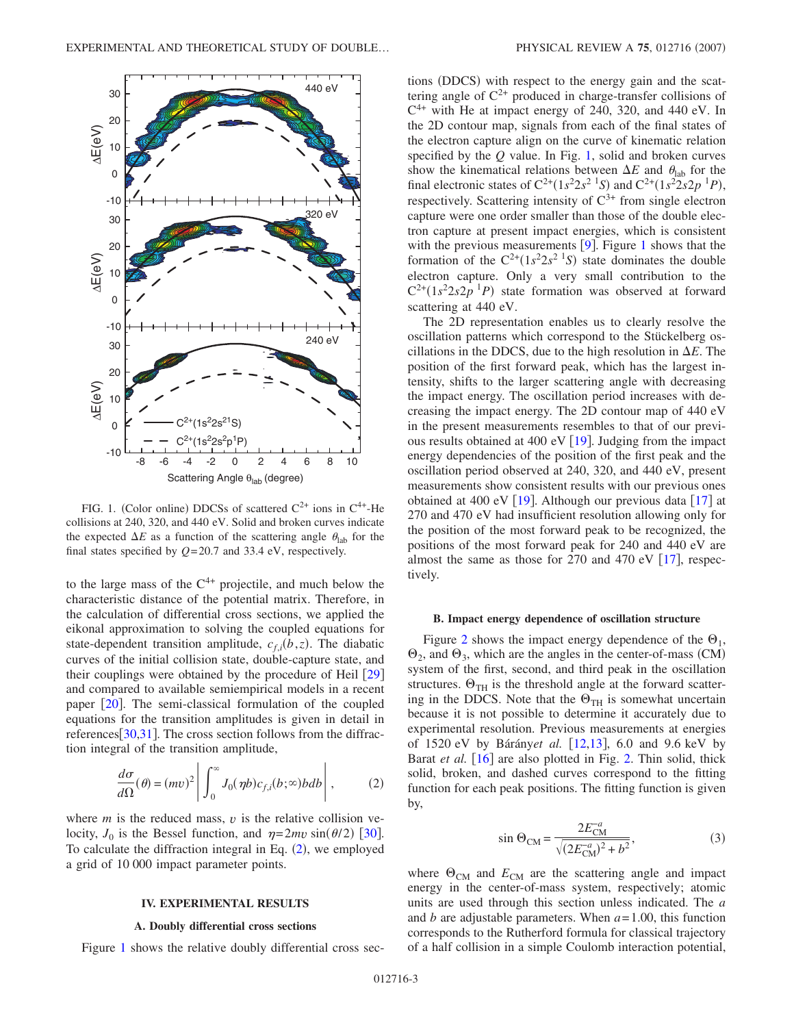<span id="page-2-1"></span>

FIG. 1. (Color online) DDCSs of scattered  $C^{2+}$  ions in  $C^{4+}$ -He collisions at 240, 320, and 440 eV. Solid and broken curves indicate the expected  $\Delta E$  as a function of the scattering angle  $\theta_{\rm lab}$  for the final states specified by *Q*=20.7 and 33.4 eV, respectively.

to the large mass of the  $C<sup>4+</sup>$  projectile, and much below the characteristic distance of the potential matrix. Therefore, in the calculation of differential cross sections, we applied the eikonal approximation to solving the coupled equations for state-dependent transition amplitude,  $c_{f,i}(b, z)$ . The diabatic curves of the initial collision state, double-capture state, and their couplings were obtained by the procedure of Heil  $\lceil 29 \rceil$  $\lceil 29 \rceil$  $\lceil 29 \rceil$ and compared to available semiempirical models in a recent paper  $\lceil 20 \rceil$  $\lceil 20 \rceil$  $\lceil 20 \rceil$ . The semi-classical formulation of the coupled equations for the transition amplitudes is given in detail in references $[30,31]$  $[30,31]$  $[30,31]$  $[30,31]$ . The cross section follows from the diffraction integral of the transition amplitude,

$$
\frac{d\sigma}{d\Omega}(\theta) = (mv)^2 \left| \int_0^\infty J_0(\eta b) c_{f,i}(b; \infty) b db \right|, \tag{2}
$$

<span id="page-2-0"></span>where  $m$  is the reduced mass,  $v$  is the relative collision velocity,  $J_0$  is the Bessel function, and  $\eta = 2mv \sin(\theta/2)$  [[30](#page-5-10)]. To calculate the diffraction integral in Eq.  $(2)$  $(2)$  $(2)$ , we employed a grid of 10 000 impact parameter points.

#### **IV. EXPERIMENTAL RESULTS**

#### **A. Doubly differential cross sections**

Figure [1](#page-2-1) shows the relative doubly differential cross sec-

PHYSICAL REVIEW A 75, 012716 (2007)

tions (DDCS) with respect to the energy gain and the scattering angle of  $C^{2+}$  produced in charge-transfer collisions of  $C<sup>4+</sup>$  with He at impact energy of 240, 320, and 440 eV. In the 2D contour map, signals from each of the final states of the electron capture align on the curve of kinematic relation specified by the *Q* value. In Fig. [1,](#page-2-1) solid and broken curves show the kinematical relations between  $\Delta E$  and  $\theta_{\text{lab}}$  for the final electronic states of  $C^{2+}(1s^2 2s^2 \text{ }^1S)$  and  $C^{2+}(1s^2 2s 2p \text{ }^1P)$ , respectively. Scattering intensity of  $C^{3+}$  from single electron capture were one order smaller than those of the double electron capture at present impact energies, which is consistent with the previous measurements  $[9]$  $[9]$  $[9]$ . Figure [1](#page-2-1) shows that the formation of the  $C^{2+}(1s^2 2s^2 1s)$  state dominates the double electron capture. Only a very small contribution to the  $C^{2+}(1s^2 2s 2p^{-1}P)$  state formation was observed at forward scattering at 440 eV.

The 2D representation enables us to clearly resolve the oscillation patterns which correspond to the Stückelberg oscillations in the DDCS, due to the high resolution in  $\Delta E$ . The position of the first forward peak, which has the largest intensity, shifts to the larger scattering angle with decreasing the impact energy. The oscillation period increases with decreasing the impact energy. The 2D contour map of 440 eV in the present measurements resembles to that of our previous results obtained at 400 eV  $\lceil 19 \rceil$  $\lceil 19 \rceil$  $\lceil 19 \rceil$ . Judging from the impact energy dependencies of the position of the first peak and the oscillation period observed at 240, 320, and 440 eV, present measurements show consistent results with our previous ones obtained at 400 eV  $\lceil 19 \rceil$  $\lceil 19 \rceil$  $\lceil 19 \rceil$ . Although our previous data  $\lceil 17 \rceil$  $\lceil 17 \rceil$  $\lceil 17 \rceil$  at 270 and 470 eV had insufficient resolution allowing only for the position of the most forward peak to be recognized, the positions of the most forward peak for 240 and 440 eV are almost the same as those for 270 and 470 eV  $[17]$  $[17]$  $[17]$ , respectively.

#### **B. Impact energy dependence of oscillation structure**

Figure [2](#page-3-0) shows the impact energy dependence of the  $\Theta_1$ ,  $\Theta_2$ , and  $\Theta_3$ , which are the angles in the center-of-mass (CM) system of the first, second, and third peak in the oscillation structures.  $\Theta_{TH}$  is the threshold angle at the forward scattering in the DDCS. Note that the  $\Theta_{TH}$  is somewhat uncertain because it is not possible to determine it accurately due to experimental resolution. Previous measurements at energies of 1520 eV by Bárány*et al.* [12](#page-4-11)[,13](#page-4-12), 6.0 and 9.6 keV by Barat *et al.* [[16](#page-4-15)] are also plotted in Fig. [2.](#page-3-0) Thin solid, thick solid, broken, and dashed curves correspond to the fitting function for each peak positions. The fitting function is given by,

$$
\sin \Theta_{\rm CM} = \frac{2E_{\rm CM}^{-a}}{\sqrt{(2E_{\rm CM}^{-a})^2 + b^2}},\tag{3}
$$

where  $\Theta_{CM}$  and  $E_{CM}$  are the scattering angle and impact energy in the center-of-mass system, respectively; atomic units are used through this section unless indicated. The *a* and *b* are adjustable parameters. When *a*=1.00, this function corresponds to the Rutherford formula for classical trajectory of a half collision in a simple Coulomb interaction potential,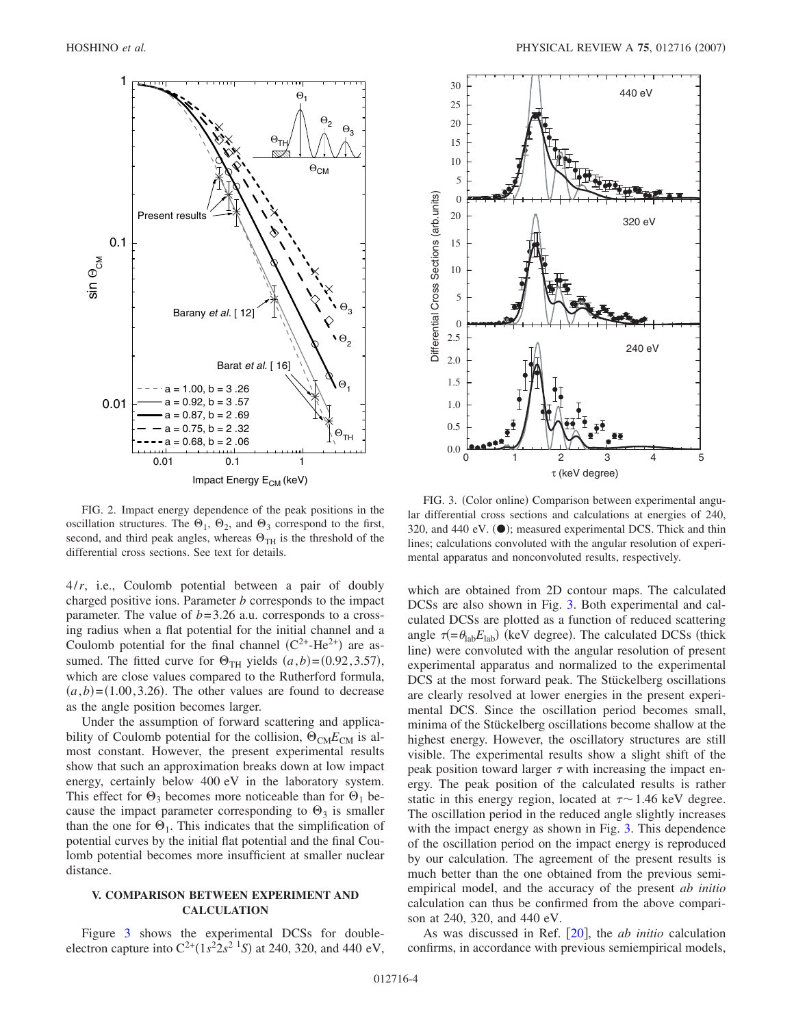<span id="page-3-0"></span>

FIG. 2. Impact energy dependence of the peak positions in the oscillation structures. The  $\Theta_1$ ,  $\Theta_2$ , and  $\Theta_3$  correspond to the first, second, and third peak angles, whereas  $\Theta_{TH}$  is the threshold of the differential cross sections. See text for details.

4/*r*, i.e., Coulomb potential between a pair of doubly charged positive ions. Parameter *b* corresponds to the impact parameter. The value of  $b=3.26$  a.u. corresponds to a crossing radius when a flat potential for the initial channel and a Coulomb potential for the final channel  $(C^{2+}-He^{2+})$  are assumed. The fitted curve for  $\Theta_{TH}$  yields  $(a,b) = (0.92, 3.57)$ , which are close values compared to the Rutherford formula,  $(a,b) = (1.00, 3.26)$ . The other values are found to decrease as the angle position becomes larger.

Under the assumption of forward scattering and applicability of Coulomb potential for the collision,  $\Theta_{CM}E_{CM}$  is almost constant. However, the present experimental results show that such an approximation breaks down at low impact energy, certainly below 400 eV in the laboratory system. This effect for  $\Theta_3$  becomes more noticeable than for  $\Theta_1$  because the impact parameter corresponding to  $\Theta_3$  is smaller than the one for  $\Theta_1$ . This indicates that the simplification of potential curves by the initial flat potential and the final Coulomb potential becomes more insufficient at smaller nuclear distance.

## **V. COMPARISON BETWEEN EXPERIMENT AND CALCULATION**

Figure [3](#page-3-1) shows the experimental DCSs for doubleelectron capture into  $C^{2+}(1s^2 2s^2 1s)$  at 240, 320, and 440 eV,

<span id="page-3-1"></span>

FIG. 3. (Color online) Comparison between experimental angular differential cross sections and calculations at energies of 240, 320, and 440 eV. (O); measured experimental DCS. Thick and thin lines; calculations convoluted with the angular resolution of experimental apparatus and nonconvoluted results, respectively.

which are obtained from 2D contour maps. The calculated DCSs are also shown in Fig. [3.](#page-3-1) Both experimental and calculated DCSs are plotted as a function of reduced scattering angle  $\tau = \theta_{\text{lab}} E_{\text{lab}}$  (keV degree). The calculated DCSs (thick line) were convoluted with the angular resolution of present experimental apparatus and normalized to the experimental DCS at the most forward peak. The Stückelberg oscillations are clearly resolved at lower energies in the present experimental DCS. Since the oscillation period becomes small, minima of the Stückelberg oscillations become shallow at the highest energy. However, the oscillatory structures are still visible. The experimental results show a slight shift of the peak position toward larger  $\tau$  with increasing the impact energy. The peak position of the calculated results is rather static in this energy region, located at  $\tau \sim 1.46$  keV degree. The oscillation period in the reduced angle slightly increases with the impact energy as shown in Fig. [3.](#page-3-1) This dependence of the oscillation period on the impact energy is reproduced by our calculation. The agreement of the present results is much better than the one obtained from the previous semiempirical model, and the accuracy of the present *ab initio* calculation can thus be confirmed from the above comparison at 240, 320, and 440 eV.

As was discussed in Ref. [[20](#page-5-0)], the *ab initio* calculation confirms, in accordance with previous semiempirical models,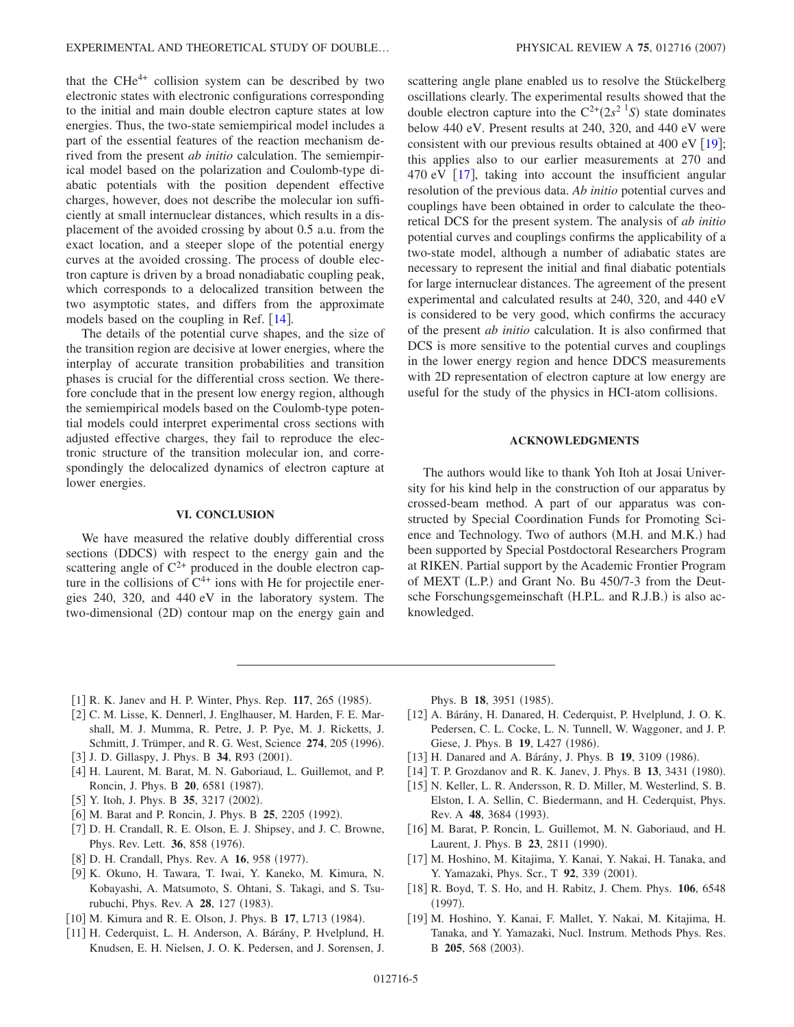that the  $CHe^{4+}$  collision system can be described by two electronic states with electronic configurations corresponding to the initial and main double electron capture states at low energies. Thus, the two-state semiempirical model includes a part of the essential features of the reaction mechanism derived from the present *ab initio* calculation. The semiempirical model based on the polarization and Coulomb-type diabatic potentials with the position dependent effective charges, however, does not describe the molecular ion sufficiently at small internuclear distances, which results in a displacement of the avoided crossing by about 0.5 a.u. from the exact location, and a steeper slope of the potential energy curves at the avoided crossing. The process of double electron capture is driven by a broad nonadiabatic coupling peak, which corresponds to a delocalized transition between the two asymptotic states, and differs from the approximate models based on the coupling in Ref.  $[14]$  $[14]$  $[14]$ .

The details of the potential curve shapes, and the size of the transition region are decisive at lower energies, where the interplay of accurate transition probabilities and transition phases is crucial for the differential cross section. We therefore conclude that in the present low energy region, although the semiempirical models based on the Coulomb-type potential models could interpret experimental cross sections with adjusted effective charges, they fail to reproduce the electronic structure of the transition molecular ion, and correspondingly the delocalized dynamics of electron capture at lower energies.

# **VI. CONCLUSION**

We have measured the relative doubly differential cross sections (DDCS) with respect to the energy gain and the scattering angle of  $C^{2+}$  produced in the double electron capture in the collisions of  $C^{4+}$  ions with He for projectile energies 240, 320, and 440 eV in the laboratory system. The two-dimensional (2D) contour map on the energy gain and

scattering angle plane enabled us to resolve the Stückelberg oscillations clearly. The experimental results showed that the double electron capture into the  $C^{2+}(2s^2 \text{ }^1S)$  state dominates below 440 eV. Present results at 240, 320, and 440 eV were consistent with our previous results obtained at 400 eV  $[19]$  $[19]$  $[19]$ ; this applies also to our earlier measurements at 270 and 470 eV  $\lceil 17 \rceil$  $\lceil 17 \rceil$  $\lceil 17 \rceil$ , taking into account the insufficient angular resolution of the previous data. *Ab initio* potential curves and couplings have been obtained in order to calculate the theoretical DCS for the present system. The analysis of *ab initio* potential curves and couplings confirms the applicability of a two-state model, although a number of adiabatic states are necessary to represent the initial and final diabatic potentials for large internuclear distances. The agreement of the present experimental and calculated results at 240, 320, and 440 eV is considered to be very good, which confirms the accuracy of the present *ab initio* calculation. It is also confirmed that DCS is more sensitive to the potential curves and couplings in the lower energy region and hence DDCS measurements with 2D representation of electron capture at low energy are useful for the study of the physics in HCI-atom collisions.

# **ACKNOWLEDGMENTS**

The authors would like to thank Yoh Itoh at Josai University for his kind help in the construction of our apparatus by crossed-beam method. A part of our apparatus was constructed by Special Coordination Funds for Promoting Science and Technology. Two of authors (M.H. and M.K.) had been supported by Special Postdoctoral Researchers Program at RIKEN. Partial support by the Academic Frontier Program of MEXT (L.P.) and Grant No. Bu 450/7-3 from the Deutsche Forschungsgemeinschaft (H.P.L. and R.J.B.) is also acknowledged.

- <span id="page-4-0"></span>[1] R. K. Janev and H. P. Winter, Phys. Rep. 117, 265 (1985).
- <span id="page-4-1"></span>[2] C. M. Lisse, K. Dennerl, J. Englhauser, M. Harden, F. E. Marshall, M. J. Mumma, R. Petre, J. P. Pye, M. J. Ricketts, J. Schmitt, J. Trümper, and R. G. West, Science 274, 205 (1996).
- <span id="page-4-2"></span>[3] J. D. Gillaspy, J. Phys. B 34, R93 (2001).
- <span id="page-4-3"></span>[4] H. Laurent, M. Barat, M. N. Gaboriaud, L. Guillemot, and P. Roncin, J. Phys. B 20, 6581 (1987).
- <span id="page-4-4"></span>[5] Y. Itoh, J. Phys. B **35**, 3217 (2002).
- <span id="page-4-5"></span>[6] M. Barat and P. Roncin, J. Phys. B 25, 2205 (1992).
- <span id="page-4-6"></span>[7] D. H. Crandall, R. E. Olson, E. J. Shipsey, and J. C. Browne, Phys. Rev. Lett. 36, 858 (1976).
- <span id="page-4-7"></span>[8] D. H. Crandall, Phys. Rev. A **16**, 958 (1977).
- <span id="page-4-8"></span>9 K. Okuno, H. Tawara, T. Iwai, Y. Kaneko, M. Kimura, N. Kobayashi, A. Matsumoto, S. Ohtani, S. Takagi, and S. Tsurubuchi, Phys. Rev. A **28**, 127 (1983).
- <span id="page-4-9"></span>[10] M. Kimura and R. E. Olson, J. Phys. B 17, L713 (1984).
- <span id="page-4-10"></span>[11] H. Cederquist, L. H. Anderson, A. Bárány, P. Hvelplund, H. Knudsen, E. H. Nielsen, J. O. K. Pedersen, and J. Sorensen, J.

Phys. B 18, 3951 (1985).

- <span id="page-4-11"></span>12 A. Bárány, H. Danared, H. Cederquist, P. Hvelplund, J. O. K. Pedersen, C. L. Cocke, L. N. Tunnell, W. Waggoner, and J. P. Giese, J. Phys. B 19, L427 (1986).
- <span id="page-4-12"></span>[13] H. Danared and A. Bárány, J. Phys. B 19, 3109 (1986).
- <span id="page-4-13"></span>[14] T. P. Grozdanov and R. K. Janev, J. Phys. B 13, 3431 (1980).
- <span id="page-4-14"></span>[15] N. Keller, L. R. Andersson, R. D. Miller, M. Westerlind, S. B. Elston, I. A. Sellin, C. Biedermann, and H. Cederquist, Phys. Rev. A 48, 3684 (1993).
- <span id="page-4-15"></span>[16] M. Barat, P. Roncin, L. Guillemot, M. N. Gaboriaud, and H. Laurent, J. Phys. B 23, 2811 (1990).
- <span id="page-4-16"></span>17 M. Hoshino, M. Kitajima, Y. Kanai, Y. Nakai, H. Tanaka, and Y. Yamazaki, Phys. Scr., T 92, 339 (2001).
- <span id="page-4-17"></span>18 R. Boyd, T. S. Ho, and H. Rabitz, J. Chem. Phys. **106**, 6548  $(1997).$
- <span id="page-4-18"></span>19 M. Hoshino, Y. Kanai, F. Mallet, Y. Nakai, M. Kitajima, H. Tanaka, and Y. Yamazaki, Nucl. Instrum. Methods Phys. Res. B 205, 568 (2003).